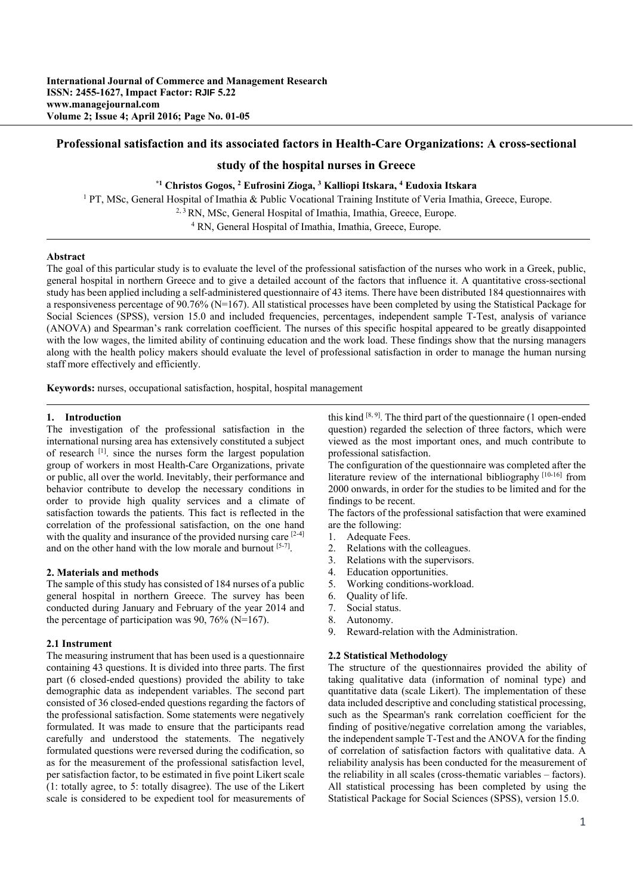# **Professional satisfaction and its associated factors in Health-Care Organizations: A cross-sectional**

# **study of the hospital nurses in Greece**

## **\*1 Christos Gogos, 2 Eufrosini Zioga, 3 Kalliopi Itskara, 4 Eudoxia Itskara**

<sup>1</sup> PT, MSc, General Hospital of Imathia & Public Vocational Training Institute of Veria Imathia, Greece, Europe. <sup>2, 3</sup> RN, MSc, General Hospital of Imathia, Imathia, Greece, Europe. 4 RN, General Hospital of Imathia, Imathia, Greece, Europe.

### **Abstract**

The goal of this particular study is to evaluate the level of the professional satisfaction of the nurses who work in a Greek, public, general hospital in northern Greece and to give a detailed account of the factors that influence it. A quantitative cross-sectional study has been applied including a self-administered questionnaire of 43 items. There have been distributed 184 questionnaires with a responsiveness percentage of 90.76% (N=167). All statistical processes have been completed by using the Statistical Package for Social Sciences (SPSS), version 15.0 and included frequencies, percentages, independent sample T-Test, analysis of variance (ANOVA) and Spearman's rank correlation coefficient. The nurses of this specific hospital appeared to be greatly disappointed with the low wages, the limited ability of continuing education and the work load. These findings show that the nursing managers along with the health policy makers should evaluate the level of professional satisfaction in order to manage the human nursing staff more effectively and efficiently.

**Keywords:** nurses, occupational satisfaction, hospital, hospital management

## **1. Introduction**

The investigation of the professional satisfaction in the international nursing area has extensively constituted a subject of research [1]. since the nurses form the largest population group of workers in most Health-Care Organizations, private or public, all over the world. Inevitably, their performance and behavior contribute to develop the necessary conditions in order to provide high quality services and a climate of satisfaction towards the patients. This fact is reflected in the correlation of the professional satisfaction, on the one hand with the quality and insurance of the provided nursing care [2-4] and on the other hand with the low morale and burnout [5-7].

#### **2. Materials and methods**

The sample of this study has consisted of 184 nurses of a public general hospital in northern Greece. The survey has been conducted during January and February of the year 2014 and the percentage of participation was  $90, 76\%$  (N=167).

#### **2.1 Instrument**

The measuring instrument that has been used is a questionnaire containing 43 questions. It is divided into three parts. The first part (6 closed-ended questions) provided the ability to take demographic data as independent variables. The second part consisted of 36 closed-ended questions regarding the factors of the professional satisfaction. Some statements were negatively formulated. It was made to ensure that the participants read carefully and understood the statements. The negatively formulated questions were reversed during the codification, so as for the measurement of the professional satisfaction level, per satisfaction factor, to be estimated in five point Likert scale (1: totally agree, to 5: totally disagree). The use of the Likert scale is considered to be expedient tool for measurements of

this kind  $[8, 9]$ . The third part of the questionnaire (1 open-ended question) regarded the selection of three factors, which were viewed as the most important ones, and much contribute to professional satisfaction.

The configuration of the questionnaire was completed after the literature review of the international bibliography [10-16] from 2000 onwards, in order for the studies to be limited and for the findings to be recent.

The factors of the professional satisfaction that were examined are the following:

- 1. Adequate Fees.
- 2. Relations with the colleagues.
- 3. Relations with the supervisors.
- 4. Education opportunities.
- 5. Working conditions-workload.
- 6. Quality of life.
- 7. Social status.
- 8. Autonomy.
- 9. Reward-relation with the Administration.

### **2.2 Statistical Methodology**

The structure of the questionnaires provided the ability of taking qualitative data (information of nominal type) and quantitative data (scale Likert). The implementation of these data included descriptive and concluding statistical processing, such as the Spearman's rank correlation coefficient for the finding of positive/negative correlation among the variables, the independent sample T-Test and the ANOVA for the finding of correlation of satisfaction factors with qualitative data. A reliability analysis has been conducted for the measurement of the reliability in all scales (cross-thematic variables – factors). All statistical processing has been completed by using the Statistical Package for Social Sciences (SPSS), version 15.0.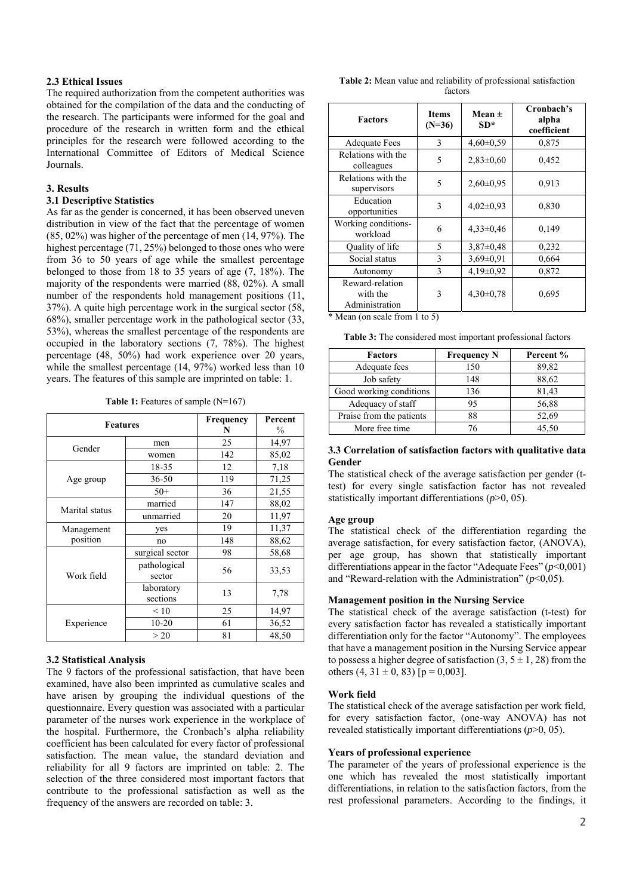# **2.3 Ethical Issues**

The required authorization from the competent authorities was obtained for the compilation of the data and the conducting of the research. The participants were informed for the goal and procedure of the research in written form and the ethical principles for the research were followed according to the International Committee of Editors of Medical Science Journals.

## **3. Results**

#### **3.1 Descriptive Statistics**

As far as the gender is concerned, it has been observed uneven distribution in view of the fact that the percentage of women (85, 02%) was higher of the percentage of men (14, 97%). The highest percentage (71, 25%) belonged to those ones who were from 36 to 50 years of age while the smallest percentage belonged to those from 18 to 35 years of age (7, 18%). The majority of the respondents were married (88, 02%). A small number of the respondents hold management positions (11, 37%). A quite high percentage work in the surgical sector (58, 68%), smaller percentage work in the pathological sector (33, 53%), whereas the smallest percentage of the respondents are occupied in the laboratory sections (7, 78%). The highest percentage (48, 50%) had work experience over 20 years, while the smallest percentage  $(14, 97%)$  worked less than 10 years. The features of this sample are imprinted on table: 1.

**Table 1:** Features of sample (N=167)

| <b>Features</b> | Frequency<br>N         | Percent<br>$\%$ |       |  |
|-----------------|------------------------|-----------------|-------|--|
| Gender          | men                    | 25              | 14,97 |  |
|                 | women                  | 142             | 85,02 |  |
|                 | 18-35                  | 12              | 7,18  |  |
| Age group       | $36 - 50$              | 119             | 71,25 |  |
|                 | $50+$                  | 36              | 21,55 |  |
| Marital status  | married                | 147             | 88,02 |  |
|                 | unmarried              | 20              | 11,97 |  |
| Management      | yes                    | 19              | 11,37 |  |
| position        | no                     | 148             | 88,62 |  |
|                 | surgical sector        | 98              | 58,68 |  |
| Work field      | pathological<br>sector | 56              | 33,53 |  |
|                 | laboratory<br>sections | 13              | 7.78  |  |
|                 | $\leq 10$              | 25              | 14,97 |  |
| Experience      | $10 - 20$              | 61              | 36,52 |  |
|                 | > 20                   | 81              | 48,50 |  |

# **3.2 Statistical Analysis**

The 9 factors of the professional satisfaction, that have been examined, have also been imprinted as cumulative scales and have arisen by grouping the individual questions of the questionnaire. Every question was associated with a particular parameter of the nurses work experience in the workplace of the hospital. Furthermore, the Cronbach's alpha reliability coefficient has been calculated for every factor of professional satisfaction. The mean value, the standard deviation and reliability for all 9 factors are imprinted on table: 2. The selection of the three considered most important factors that contribute to the professional satisfaction as well as the frequency of the answers are recorded on table: 3.

**Table 2:** Mean value and reliability of professional satisfaction factors

| <b>Factors</b>                                | <b>Items</b><br>$(N=36)$ | Mean $\pm$<br>$SD*$ | Cronbach's<br>alpha<br>coefficient |
|-----------------------------------------------|--------------------------|---------------------|------------------------------------|
| <b>Adequate Fees</b>                          | 3                        | $4,60\pm0,59$       | 0,875                              |
| Relations with the<br>colleagues              | 5                        | $2,83\pm0,60$       | 0,452                              |
| Relations with the<br>supervisors             | 5                        | $2,60\pm0.95$       | 0.913                              |
| Education<br>opportunities                    | 3                        | $4,02\pm0.93$       | 0,830                              |
| Working conditions-<br>workload               | 6                        | $4,33\pm0,46$       | 0,149                              |
| Quality of life                               | 5                        | $3,87\pm0,48$       | 0,232                              |
| Social status                                 | 3                        | $3.69 \pm 0.91$     | 0,664                              |
| Autonomy                                      | 3                        | $4,19\pm0.92$       | 0,872                              |
| Reward-relation<br>with the<br>Administration | 3                        | $4,30\pm0.78$       | 0,695                              |

\* Mean (on scale from 1 to 5)

**Table 3:** The considered most important professional factors

| <b>Factors</b>           | <b>Frequency N</b> | Percent % |
|--------------------------|--------------------|-----------|
| Adequate fees            | 150                | 89,82     |
| Job safety               | 148                | 88,62     |
| Good working conditions  | 136                | 81,43     |
| Adequacy of staff        | 95                 | 56,88     |
| Praise from the patients | 88                 | 52,69     |
| More free time           | 76                 | 45,50     |

# **3.3 Correlation of satisfaction factors with qualitative data Gender**

The statistical check of the average satisfaction per gender (ttest) for every single satisfaction factor has not revealed statistically important differentiations (*p*>0, 05).

# **Age group**

The statistical check of the differentiation regarding the average satisfaction, for every satisfaction factor, (ANOVA), per age group, has shown that statistically important differentiations appear in the factor "Adequate Fees" (*p*<0,001) and "Reward-relation with the Administration" (*p*<0,05).

# **Management position in the Nursing Service**

The statistical check of the average satisfaction (t-test) for every satisfaction factor has revealed a statistically important differentiation only for the factor "Autonomy". The employees that have a management position in the Nursing Service appear to possess a higher degree of satisfaction  $(3, 5 \pm 1, 28)$  from the others  $(4, 31 \pm 0, 83)$  [p = 0,003].

#### **Work field**

The statistical check of the average satisfaction per work field, for every satisfaction factor, (one-way ANOVA) has not revealed statistically important differentiations (*p*>0, 05).

# **Years of professional experience**

The parameter of the years of professional experience is the one which has revealed the most statistically important differentiations, in relation to the satisfaction factors, from the rest professional parameters. According to the findings, it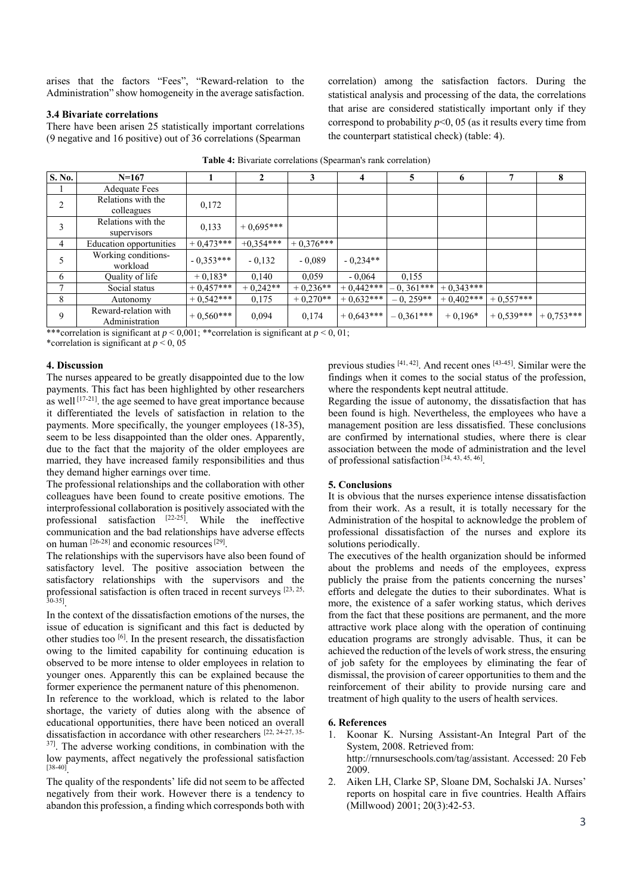arises that the factors "Fees", "Reward-relation to the Administration" show homogeneity in the average satisfaction.

## **3.4 Bivariate correlations**

There have been arisen 25 statistically important correlations (9 negative and 16 positive) out of 36 correlations (Spearman

correlation) among the satisfaction factors. During the statistical analysis and processing of the data, the correlations that arise are considered statistically important only if they correspond to probability  $p<0$ , 05 (as it results every time from the counterpart statistical check) (table: 4).

| S. No.         | $N=167$                                |             |             | 3           | 4           | 5           | 6           |             | 8           |
|----------------|----------------------------------------|-------------|-------------|-------------|-------------|-------------|-------------|-------------|-------------|
|                | <b>Adequate Fees</b>                   |             |             |             |             |             |             |             |             |
| $\overline{2}$ | Relations with the<br>colleagues       | 0,172       |             |             |             |             |             |             |             |
| 3              | Relations with the<br>supervisors      | 0,133       | $+0.695***$ |             |             |             |             |             |             |
| 4              | Education opportunities                | $+0.473***$ | $+0.354***$ | $+0.376***$ |             |             |             |             |             |
| 5              | Working conditions-<br>workload        | $-0.353***$ | $-0,132$    | $-0.089$    | $-0.234**$  |             |             |             |             |
| 6              | Quality of life                        | $+0.183*$   | 0,140       | 0.059       | $-0.064$    | 0,155       |             |             |             |
|                | Social status                          | $+0.457***$ | $+0.242**$  | $+0.236**$  | $+0.442***$ | $-0.361***$ | $+0,343***$ |             |             |
| 8              | Autonomy                               | $+0,542***$ | 0,175       | $+0,270**$  | $+0,632***$ | $-0, 259**$ | $+0.402***$ | $+0.557***$ |             |
| 9              | Reward-relation with<br>Administration | $+0,560***$ | 0,094       | 0,174       | $+0.643***$ | $-0.361***$ | $+0.196*$   | $+0.539***$ | $+0,753***$ |

\*\*\*correlation is significant at  $p \le 0.001$ ; \*\*correlation is significant at  $p \le 0.01$ ;

\*correlation is significant at  $p < 0$ , 05

# **4. Discussion**

The nurses appeared to be greatly disappointed due to the low payments. This fact has been highlighted by other researchers as well  $[17-21]$ , the age seemed to have great importance because it differentiated the levels of satisfaction in relation to the payments. More specifically, the younger employees (18-35), seem to be less disappointed than the older ones. Apparently, due to the fact that the majority of the older employees are married, they have increased family responsibilities and thus they demand higher earnings over time.

The professional relationships and the collaboration with other colleagues have been found to create positive emotions. The interprofessional collaboration is positively associated with the professional satisfaction  $[22-25]$  While the ineffective communication and the bad relationships have adverse effects on human [26-28] and economic resources [29].

The relationships with the supervisors have also been found of satisfactory level. The positive association between the satisfactory relationships with the supervisors and the professional satisfaction is often traced in recent surveys [23, 25, 30-35].

In the context of the dissatisfaction emotions of the nurses, the issue of education is significant and this fact is deducted by other studies too  $\left[6\right]$ . In the present research, the dissatisfaction owing to the limited capability for continuing education is observed to be more intense to older employees in relation to younger ones. Apparently this can be explained because the former experience the permanent nature of this phenomenon. In reference to the workload, which is related to the labor shortage, the variety of duties along with the absence of educational opportunities, there have been noticed an overall dissatisfaction in accordance with other researchers [22, 24-27, 35-37]. The adverse working conditions, in combination with the

low payments, affect negatively the professional satisfaction  $[38-40]$ 

The quality of the respondents' life did not seem to be affected negatively from their work. However there is a tendency to abandon this profession, a finding which corresponds both with previous studies [41, 42]. And recent ones [43-45]. Similar were the findings when it comes to the social status of the profession, where the respondents kept neutral attitude.

Regarding the issue of autonomy, the dissatisfaction that has been found is high. Nevertheless, the employees who have a management position are less dissatisfied. These conclusions are confirmed by international studies, where there is clear association between the mode of administration and the level of professional satisfaction [34, 43, 45, 46].

# **5. Conclusions**

It is obvious that the nurses experience intense dissatisfaction from their work. As a result it is totally necessary for the Administration of the hospital to acknowledge the problem of professional dissatisfaction of the nurses and explore its solutions periodically.

The executives of the health organization should be informed about the problems and needs of the employees, express publicly the praise from the patients concerning the nurses' efforts and delegate the duties to their subordinates. What is more, the existence of a safer working status, which derives from the fact that these positions are permanent, and the more attractive work place along with the operation of continuing education programs are strongly advisable. Thus, it can be achieved the reduction of the levels of work stress, the ensuring of job safety for the employees by eliminating the fear of dismissal, the provision of career opportunities to them and the reinforcement of their ability to provide nursing care and treatment of high quality to the users of health services.

## **6. References**

- 1. Koonar K. Nursing Assistant-An Integral Part of the System, 2008. Retrieved from: http://rnnurseschools.com/tag/assistant. Accessed: 20 Feb 2009.
- 2. Aiken LH, Clarke SP, Sloane DM, Sochalski JA. Nurses' reports on hospital care in five countries. Health Affairs (Millwood) 2001; 20(3):42-53.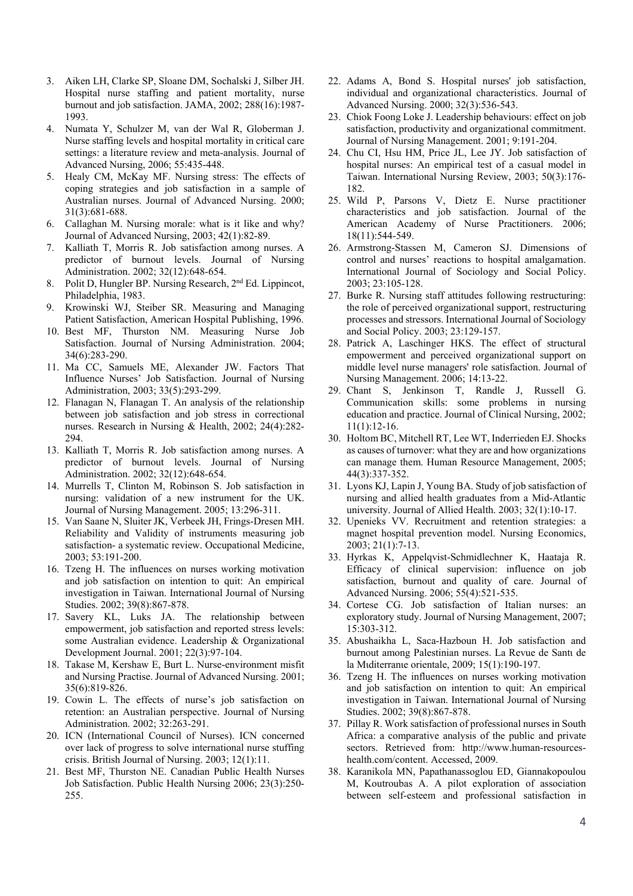- 3. Aiken LH, Clarke SP, Sloane DM, Sochalski J, Silber JH. Hospital nurse staffing and patient mortality, nurse burnout and job satisfaction. JAMA, 2002; 288(16):1987- 1993.
- 4. Numata Y, Schulzer M, van der Wal R, Globerman J. Nurse staffing levels and hospital mortality in critical care settings: a literature review and meta-analysis. Journal of Advanced Nursing, 2006; 55:435-448.
- 5. Healy CM, McKay MF. Nursing stress: The effects of coping strategies and job satisfaction in a sample of Australian nurses. Journal of Advanced Nursing. 2000; 31(3):681-688.
- 6. Callaghan M. Nursing morale: what is it like and why? Journal of Advanced Nursing, 2003; 42(1):82-89.
- 7. Kalliath T, Morris R. Job satisfaction among nurses. A predictor of burnout levels. Journal of Nursing Administration. 2002; 32(12):648-654.
- 8. Polit D, Hungler BP. Nursing Research, 2<sup>nd</sup> Ed. Lippincot, Philadelphia, 1983.
- 9. Krowinski WJ, Steiber SR. Measuring and Managing Patient Satisfaction, American Hospital Publishing, 1996.
- 10. Best MF, Thurston NM. Measuring Nurse Job Satisfaction. Journal of Nursing Administration. 2004; 34(6):283-290.
- 11. Ma CC, Samuels ME, Alexander JW. Factors That Influence Nurses' Job Satisfaction. Journal of Nursing Administration, 2003; 33(5):293-299.
- 12. Flanagan N, Flanagan T. An analysis of the relationship between job satisfaction and job stress in correctional nurses. Research in Nursing & Health, 2002; 24(4):282- 294.
- 13. Kalliath T, Morris R. Job satisfaction among nurses. A predictor of burnout levels. Journal of Nursing Administration. 2002; 32(12):648-654.
- 14. Murrells T, Clinton M, Robinson S. Job satisfaction in nursing: validation of a new instrument for the UK. Journal of Nursing Management. 2005; 13:296-311.
- 15. Van Saane N, Sluiter JK, Verbeek JH, Frings-Dresen MH. Reliability and Validity of instruments measuring job satisfaction- a systematic review. Occupational Medicine, 2003; 53:191-200.
- 16. Tzeng H. The influences on nurses working motivation and job satisfaction on intention to quit: An empirical investigation in Taiwan. International Journal of Nursing Studies. 2002; 39(8):867-878.
- 17. Savery KL, Luks JA. The relationship between empowerment, job satisfaction and reported stress levels: some Australian evidence. Leadership & Organizational Development Journal. 2001; 22(3):97-104.
- 18. Takase M, Kershaw E, Burt L. Nurse-environment misfit and Nursing Practise. Journal of Advanced Nursing. 2001; 35(6):819-826.
- 19. Cowin L. The effects of nurse's job satisfaction on retention: an Australian perspective. Journal of Nursing Administration. 2002; 32:263-291.
- 20. ICN (International Council of Nurses). ICN concerned over lack of progress to solve international nurse stuffing crisis. British Journal of Nursing. 2003; 12(1):11.
- 21. Best MF, Thurston NE. Canadian Public Health Nurses Job Satisfaction. Public Health Nursing 2006; 23(3):250- 255.
- 22. Adams A, Bond S. Hospital nurses' job satisfaction, individual and organizational characteristics. Journal of Advanced Nursing. 2000; 32(3):536-543.
- 23. Chiok Foong Loke J. Leadership behaviours: effect on job satisfaction, productivity and organizational commitment. Journal of Nursing Management. 2001; 9:191-204.
- 24. Chu CI, Hsu HM, Price JL, Lee JY. Job satisfaction of hospital nurses: An empirical test of a casual model in Taiwan. International Nursing Review, 2003; 50(3):176- 182.
- 25. Wild P, Parsons V, Dietz E. Nurse practitioner characteristics and job satisfaction. Journal of the American Academy of Nurse Practitioners. 2006; 18(11):544-549.
- 26. Armstrong-Stassen M, Cameron SJ. Dimensions of control and nurses' reactions to hospital amalgamation. International Journal of Sociology and Social Policy. 2003; 23:105-128.
- 27. Burke R. Nursing staff attitudes following restructuring: the role of perceived organizational support, restructuring processes and stressors. International Journal of Sociology and Social Policy. 2003; 23:129-157.
- 28. Patrick A, Laschinger HKS. The effect of structural empowerment and perceived organizational support on middle level nurse managers' role satisfaction. Journal of Nursing Management. 2006; 14:13-22.
- 29. Chant S, Jenkinson T, Randle J, Russell G. Communication skills: some problems in nursing education and practice. Journal of Clinical Nursing, 2002; 11(1):12-16.
- 30. Holtom BC, Mitchell RT, Lee WT, Inderrieden EJ. Shocks as causes of turnover: what they are and how organizations can manage them. Human Resource Management, 2005; 44(3):337-352.
- 31. Lyons KJ, Lapin J, Young BA. Study of job satisfaction of nursing and allied health graduates from a Mid-Atlantic university. Journal of Allied Health. 2003; 32(1):10-17.
- 32. Upenieks VV. Recruitment and retention strategies: a magnet hospital prevention model. Nursing Economics, 2003; 21(1):7-13.
- 33. Hyrkas K, Appelqvist-Schmidlechner K, Haataja R. Efficacy of clinical supervision: influence on job satisfaction, burnout and quality of care. Journal of Advanced Nursing. 2006; 55(4):521-535.
- 34. Cortese CG. Job satisfaction of Italian nurses: an exploratory study. Journal of Nursing Management, 2007; 15:303-312.
- 35. Abushaikha L, Saca-Hazboun H. Job satisfaction and burnout among Palestinian nurses. La Revue de Santι de la Mιditerranιe orientale, 2009; 15(1):190-197.
- 36. Tzeng H. The influences on nurses working motivation and job satisfaction on intention to quit: An empirical investigation in Taiwan. International Journal of Nursing Studies. 2002; 39(8):867-878.
- 37. Pillay R. Work satisfaction of professional nurses in South Africa: a comparative analysis of the public and private sectors. Retrieved from: http://www.human-resourceshealth.com/content. Accessed, 2009.
- 38. Karanikola MN, Papathanassoglou ED, Giannakopoulou M, Koutroubas A. A pilot exploration of association between self-esteem and professional satisfaction in